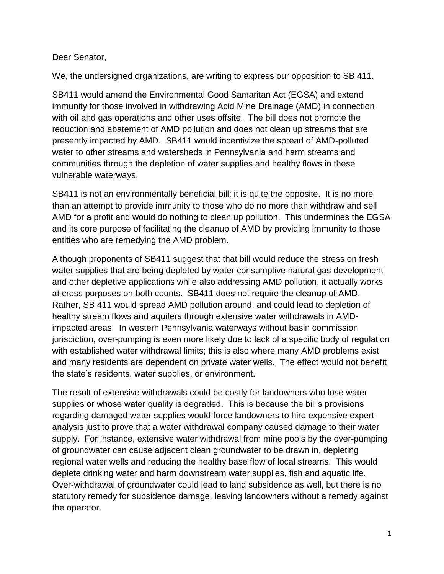## Dear Senator,

We, the undersigned organizations, are writing to express our opposition to SB 411.

SB411 would amend the Environmental Good Samaritan Act (EGSA) and extend immunity for those involved in withdrawing Acid Mine Drainage (AMD) in connection with oil and gas operations and other uses offsite. The bill does not promote the reduction and abatement of AMD pollution and does not clean up streams that are presently impacted by AMD. SB411 would incentivize the spread of AMD-polluted water to other streams and watersheds in Pennsylvania and harm streams and communities through the depletion of water supplies and healthy flows in these vulnerable waterways.

SB411 is not an environmentally beneficial bill; it is quite the opposite. It is no more than an attempt to provide immunity to those who do no more than withdraw and sell AMD for a profit and would do nothing to clean up pollution. This undermines the EGSA and its core purpose of facilitating the cleanup of AMD by providing immunity to those entities who are remedying the AMD problem.

Although proponents of SB411 suggest that that bill would reduce the stress on fresh water supplies that are being depleted by water consumptive natural gas development and other depletive applications while also addressing AMD pollution, it actually works at cross purposes on both counts. SB411 does not require the cleanup of AMD. Rather, SB 411 would spread AMD pollution around, and could lead to depletion of healthy stream flows and aquifers through extensive water withdrawals in AMDimpacted areas. In western Pennsylvania waterways without basin commission jurisdiction, over-pumping is even more likely due to lack of a specific body of regulation with established water withdrawal limits; this is also where many AMD problems exist and many residents are dependent on private water wells. The effect would not benefit the state's residents, water supplies, or environment.

The result of extensive withdrawals could be costly for landowners who lose water supplies or whose water quality is degraded. This is because the bill's provisions regarding damaged water supplies would force landowners to hire expensive expert analysis just to prove that a water withdrawal company caused damage to their water supply. For instance, extensive water withdrawal from mine pools by the over-pumping of groundwater can cause adjacent clean groundwater to be drawn in, depleting regional water wells and reducing the healthy base flow of local streams. This would deplete drinking water and harm downstream water supplies, fish and aquatic life. Over-withdrawal of groundwater could lead to land subsidence as well, but there is no statutory remedy for subsidence damage, leaving landowners without a remedy against the operator.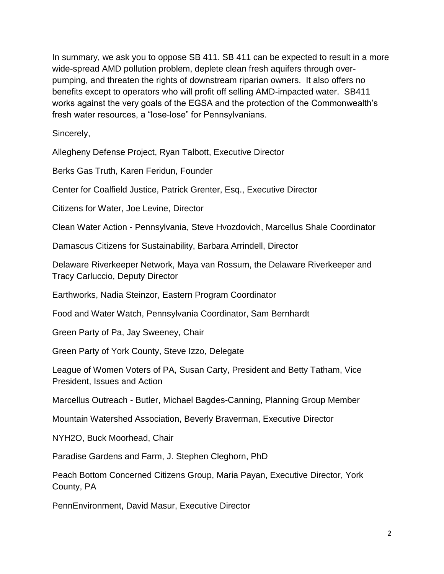In summary, we ask you to oppose SB 411. SB 411 can be expected to result in a more wide-spread AMD pollution problem, deplete clean fresh aquifers through overpumping, and threaten the rights of downstream riparian owners. It also offers no benefits except to operators who will profit off selling AMD-impacted water. SB411 works against the very goals of the EGSA and the protection of the Commonwealth's fresh water resources, a "lose-lose" for Pennsylvanians.

Sincerely,

Allegheny Defense Project, Ryan Talbott, Executive Director

Berks Gas Truth, Karen Feridun, Founder

Center for Coalfield Justice, Patrick Grenter, Esq., Executive Director

Citizens for Water, Joe Levine, Director

Clean Water Action - Pennsylvania, Steve Hvozdovich, Marcellus Shale Coordinator

Damascus Citizens for Sustainability, Barbara Arrindell, Director

Delaware Riverkeeper Network, Maya van Rossum, the Delaware Riverkeeper and Tracy Carluccio, Deputy Director

Earthworks, Nadia Steinzor, Eastern Program Coordinator

Food and Water Watch, Pennsylvania Coordinator, Sam Bernhardt

Green Party of Pa, Jay Sweeney, Chair

Green Party of York County, Steve Izzo, Delegate

League of Women Voters of PA, Susan Carty, President and Betty Tatham, Vice President, Issues and Action

Marcellus Outreach - Butler, Michael Bagdes-Canning, Planning Group Member

Mountain Watershed Association, Beverly Braverman, Executive Director

NYH2O, Buck Moorhead, Chair

Paradise Gardens and Farm, J. Stephen Cleghorn, PhD

Peach Bottom Concerned Citizens Group, Maria Payan, Executive Director, York County, PA

PennEnvironment, David Masur, Executive Director